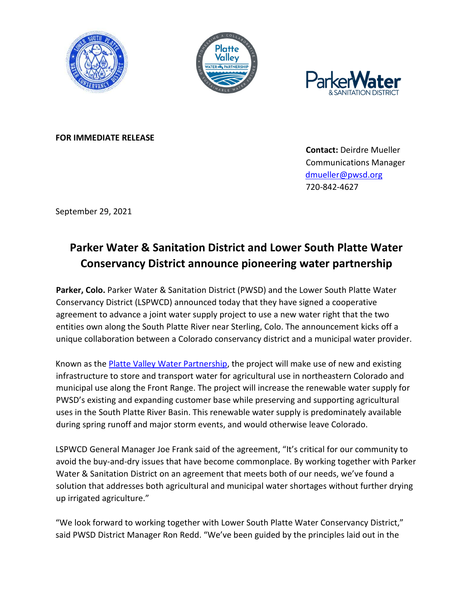





**FOR IMMEDIATE RELEASE**

**Contact:** Deirdre Mueller Communications Manager [dmueller@pwsd.org](mailto:dmueller@pwsd.org) 720-842-4627

September 29, 2021

## **Parker Water & Sanitation District and Lower South Platte Water Conservancy District announce pioneering water partnership**

**Parker, Colo.** Parker Water & Sanitation District (PWSD) and the Lower South Platte Water Conservancy District (LSPWCD) announced today that they have signed a cooperative agreement to advance a joint water supply project to use a new water right that the two entities own along the South Platte River near Sterling, Colo. The announcement kicks off a unique collaboration between a Colorado conservancy district and a municipal water provider.

Known as the **Platte Valley Water Partnership**, the project will make use of new and existing infrastructure to store and transport water for agricultural use in northeastern Colorado and municipal use along the Front Range. The project will increase the renewable water supply for PWSD's existing and expanding customer base while preserving and supporting agricultural uses in the South Platte River Basin. This renewable water supply is predominately available during spring runoff and major storm events, and would otherwise leave Colorado.

LSPWCD General Manager Joe Frank said of the agreement, "It's critical for our community to avoid the buy-and-dry issues that have become commonplace. By working together with Parker Water & Sanitation District on an agreement that meets both of our needs, we've found a solution that addresses both agricultural and municipal water shortages without further drying up irrigated agriculture."

"We look forward to working together with Lower South Platte Water Conservancy District," said PWSD District Manager Ron Redd. "We've been guided by the principles laid out in the